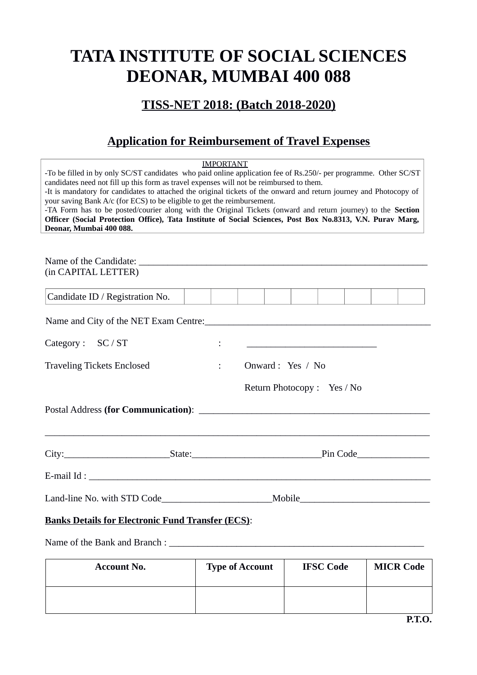# **TATA INSTITUTE OF SOCIAL SCIENCES DEONAR, MUMBAI 400 088**

### **TISS-NET 2018: (Batch 2018-2020)**

## **Application for Reimbursement of Travel Expenses**

| -To be filled in by only SC/ST candidates who paid online application fee of Rs.250/- per programme. Other SC/ST<br>candidates need not fill up this form as travel expenses will not be reimbursed to them.<br>-It is mandatory for candidates to attached the original tickets of the onward and return journey and Photocopy of<br>your saving Bank A/c (for ECS) to be eligible to get the reimbursement.<br>-TA Form has to be posted/courier along with the Original Tickets (onward and return journey) to the Section<br>Officer (Social Protection Office), Tata Institute of Social Sciences, Post Box No.8313, V.N. Purav Marg,<br>Deonar, Mumbai 400 088. | <b>IMPORTANT</b>                    |  |  |                                                   |  |  |  |
|-----------------------------------------------------------------------------------------------------------------------------------------------------------------------------------------------------------------------------------------------------------------------------------------------------------------------------------------------------------------------------------------------------------------------------------------------------------------------------------------------------------------------------------------------------------------------------------------------------------------------------------------------------------------------|-------------------------------------|--|--|---------------------------------------------------|--|--|--|
| (in CAPITAL LETTER)                                                                                                                                                                                                                                                                                                                                                                                                                                                                                                                                                                                                                                                   |                                     |  |  |                                                   |  |  |  |
|                                                                                                                                                                                                                                                                                                                                                                                                                                                                                                                                                                                                                                                                       |                                     |  |  |                                                   |  |  |  |
| Candidate ID / Registration No.                                                                                                                                                                                                                                                                                                                                                                                                                                                                                                                                                                                                                                       |                                     |  |  |                                                   |  |  |  |
| Name and City of the NET Exam Centre:                                                                                                                                                                                                                                                                                                                                                                                                                                                                                                                                                                                                                                 |                                     |  |  |                                                   |  |  |  |
| Category: SC / ST                                                                                                                                                                                                                                                                                                                                                                                                                                                                                                                                                                                                                                                     |                                     |  |  | <u> 1989 - Johann Barbara, martin amerikan ba</u> |  |  |  |
| <b>Traveling Tickets Enclosed</b>                                                                                                                                                                                                                                                                                                                                                                                                                                                                                                                                                                                                                                     | Onward : Yes / No<br>$\ddot{\cdot}$ |  |  |                                                   |  |  |  |
|                                                                                                                                                                                                                                                                                                                                                                                                                                                                                                                                                                                                                                                                       |                                     |  |  | Return Photocopy: Yes / No                        |  |  |  |
|                                                                                                                                                                                                                                                                                                                                                                                                                                                                                                                                                                                                                                                                       |                                     |  |  |                                                   |  |  |  |
|                                                                                                                                                                                                                                                                                                                                                                                                                                                                                                                                                                                                                                                                       |                                     |  |  |                                                   |  |  |  |
|                                                                                                                                                                                                                                                                                                                                                                                                                                                                                                                                                                                                                                                                       |                                     |  |  |                                                   |  |  |  |
|                                                                                                                                                                                                                                                                                                                                                                                                                                                                                                                                                                                                                                                                       |                                     |  |  |                                                   |  |  |  |
| <b>Banks Details for Electronic Fund Transfer (ECS):</b>                                                                                                                                                                                                                                                                                                                                                                                                                                                                                                                                                                                                              |                                     |  |  |                                                   |  |  |  |
|                                                                                                                                                                                                                                                                                                                                                                                                                                                                                                                                                                                                                                                                       |                                     |  |  |                                                   |  |  |  |

| <b>Account No.</b> | <b>Type of Account</b> | <b>IFSC Code</b> | <b>MICR Code</b> |
|--------------------|------------------------|------------------|------------------|
|                    |                        |                  |                  |